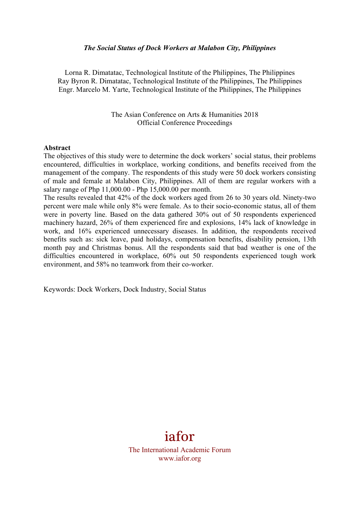#### *The Social Status of Dock Workers at Malabon City, Philippines*

Lorna R. Dimatatac, Technological Institute of the Philippines, The Philippines Ray Byron R. Dimatatac, Technological Institute of the Philippines, The Philippines Engr. Marcelo M. Yarte, Technological Institute of the Philippines, The Philippines

> The Asian Conference on Arts & Humanities 2018 Official Conference Proceedings

#### **Abstract**

The objectives of this study were to determine the dock workers' social status, their problems encountered, difficulties in workplace, working conditions, and benefits received from the management of the company. The respondents of this study were 50 dock workers consisting of male and female at Malabon City, Philippines. All of them are regular workers with a salary range of Php 11,000.00 - Php 15,000.00 per month.

The results revealed that 42% of the dock workers aged from 26 to 30 years old. Ninety-two percent were male while only 8% were female. As to their socio-economic status, all of them were in poverty line. Based on the data gathered 30% out of 50 respondents experienced machinery hazard, 26% of them experienced fire and explosions, 14% lack of knowledge in work, and 16% experienced unnecessary diseases. In addition, the respondents received benefits such as: sick leave, paid holidays, compensation benefits, disability pension, 13th month pay and Christmas bonus. All the respondents said that bad weather is one of the difficulties encountered in workplace, 60% out 50 respondents experienced tough work environment, and 58% no teamwork from their co-worker.

Keywords: Dock Workers, Dock Industry, Social Status

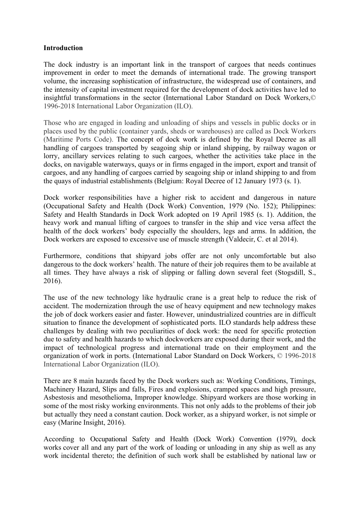## **Introduction**

The dock industry is an important link in the transport of cargoes that needs continues improvement in order to meet the demands of international trade. The growing transport volume, the increasing sophistication of infrastructure, the widespread use of containers, and the intensity of capital investment required for the development of dock activities have led to insightful transformations in the sector (International Labor Standard on Dock Workers,© 1996-2018 International Labor Organization (ILO).

Those who are engaged in loading and unloading of ships and vessels in public docks or in places used by the public (container yards, sheds or warehouses) are called as Dock Workers (Maritime Ports Code). The concept of dock work is defined by the Royal Decree as all handling of cargoes transported by seagoing ship or inland shipping, by railway wagon or lorry, ancillary services relating to such cargoes, whether the activities take place in the docks, on navigable waterways, quays or in firms engaged in the import, export and transit of cargoes, and any handling of cargoes carried by seagoing ship or inland shipping to and from the quays of industrial establishments (Belgium: Royal Decree of 12 January 1973 (s. 1).

Dock worker responsibilities have a higher risk to accident and dangerous in nature (Occupational Safety and Health (Dock Work) Convention, 1979 (No. 152); Philippines: Safety and Health Standards in Dock Work adopted on 19 April 1985 (s. 1). Addition, the heavy work and manual lifting of cargoes to transfer in the ship and vice versa affect the health of the dock workers' body especially the shoulders, legs and arms. In addition, the Dock workers are exposed to excessive use of muscle strength (Valdecir, C. et al 2014).

Furthermore, conditions that shipyard jobs offer are not only uncomfortable but also dangerous to the dock workers' health. The nature of their job requires them to be available at all times. They have always a risk of slipping or falling down several feet (Stogsdill, S., 2016).

The use of the new technology like hydraulic crane is a great help to reduce the risk of accident. The modernization through the use of heavy equipment and new technology makes the job of dock workers easier and faster. However, unindustrialized countries are in difficult situation to finance the development of sophisticated ports. ILO standards help address these challenges by dealing with two peculiarities of dock work: the need for specific protection due to safety and health hazards to which dockworkers are exposed during their work, and the impact of technological progress and international trade on their employment and the organization of work in ports. (International Labor Standard on Dock Workers, © 1996-2018 International Labor Organization (ILO).

There are 8 main hazards faced by the Dock workers such as: Working Conditions, Timings, Machinery Hazard, Slips and falls, Fires and explosions, cramped spaces and high pressure, Asbestosis and mesothelioma, Improper knowledge. Shipyard workers are those working in some of the most risky working environments. This not only adds to the problems of their job but actually they need a constant caution. Dock worker, as a shipyard worker, is not simple or easy (Marine Insight, 2016).

According to Occupational Safety and Health (Dock Work) Convention (1979), dock works cover all and any part of the work of loading or unloading in any ship as well as any work incidental thereto; the definition of such work shall be established by national law or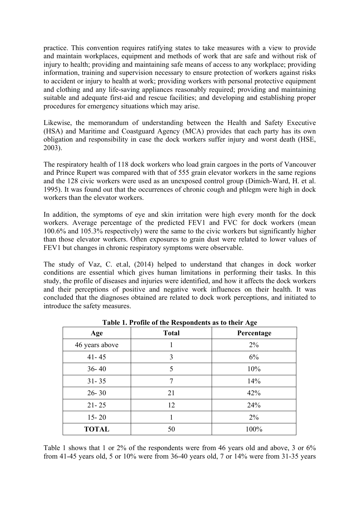practice. This convention requires ratifying states to take measures with a view to provide and maintain workplaces, equipment and methods of work that are safe and without risk of injury to health; providing and maintaining safe means of access to any workplace; providing information, training and supervision necessary to ensure protection of workers against risks to accident or injury to health at work; providing workers with personal protective equipment and clothing and any life-saving appliances reasonably required; providing and maintaining suitable and adequate first-aid and rescue facilities; and developing and establishing proper procedures for emergency situations which may arise.

Likewise, the memorandum of understanding between the Health and Safety Executive (HSA) and Maritime and Coastguard Agency (MCA) provides that each party has its own obligation and responsibility in case the dock workers suffer injury and worst death (HSE, 2003).

The respiratory health of 118 dock workers who load grain cargoes in the ports of Vancouver and Prince Rupert was compared with that of 555 grain elevator workers in the same regions and the 128 civic workers were used as an unexposed control group (Dimich-Ward, H. et al. 1995). It was found out that the occurrences of chronic cough and phlegm were high in dock workers than the elevator workers.

In addition, the symptoms of eye and skin irritation were high every month for the dock workers. Average percentage of the predicted FEV1 and FVC for dock workers (mean 100.6% and 105.3% respectively) were the same to the civic workers but significantly higher than those elevator workers. Often exposures to grain dust were related to lower values of FEV1 but changes in chronic respiratory symptoms were observable.

The study of Vaz, C. et.al, (2014) helped to understand that changes in dock worker conditions are essential which gives human limitations in performing their tasks. In this study, the profile of diseases and injuries were identified, and how it affects the dock workers and their perceptions of positive and negative work influences on their health. It was concluded that the diagnoses obtained are related to dock work perceptions, and initiated to introduce the safety measures.

| Age            | <b>Total</b> | Percentage |
|----------------|--------------|------------|
| 46 years above |              | $2\%$      |
| $41 - 45$      | 3            | 6%         |
| $36 - 40$      | 5            | 10%        |
| $31 - 35$      | 7            | 14%        |
| $26 - 30$      | 21           | 42%        |
| $21 - 25$      | 12           | 24%        |
| $15 - 20$      |              | $2\%$      |
| <b>TOTAL</b>   | 50           | 100%       |

**Table 1. Profile of the Respondents as to their Age**

Table 1 shows that 1 or 2% of the respondents were from 46 years old and above, 3 or 6% from 41-45 years old, 5 or 10% were from 36-40 years old, 7 or 14% were from 31-35 years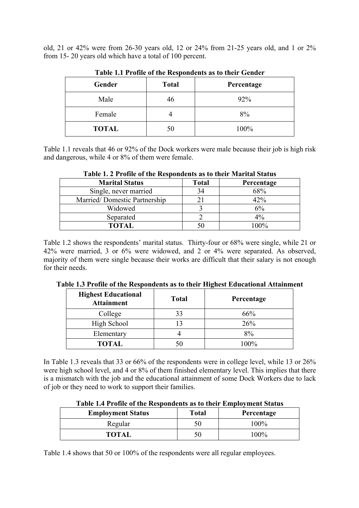old, 21 or 42% were from 26-30 years old, 12 or 24% from 21-25 years old, and 1 or 2% from 15- 20 years old which have a total of 100 percent.

| Gender       | <b>Total</b> | Percentage |
|--------------|--------------|------------|
| Male         | 46           | 92%        |
| Female       |              | 8%         |
| <b>TOTAL</b> | 50           | 100%       |

**Table 1.1 Profile of the Respondents as to their Gender**

Table 1.1 reveals that 46 or 92% of the Dock workers were male because their job is high risk and dangerous, while 4 or 8% of them were female.

| THUIC II E TTUING OF THE INCRPONDENT HO TO THEIR THAT DIRIGO |              |            |  |  |  |  |  |
|--------------------------------------------------------------|--------------|------------|--|--|--|--|--|
| <b>Marital Status</b>                                        | <b>Total</b> | Percentage |  |  |  |  |  |
| Single, never married                                        | 34           | 68%        |  |  |  |  |  |
| Married/Domestic Partnership                                 |              | 42%        |  |  |  |  |  |
| Widowed                                                      |              | 6%         |  |  |  |  |  |
| Separated                                                    |              | $4\%$      |  |  |  |  |  |
| TOTAL                                                        |              | 100%       |  |  |  |  |  |

**Table 1. 2 Profile of the Respondents as to their Marital Status**

Table 1.2 shows the respondents' marital status. Thirty-four or 68% were single, while 21 or 42% were married, 3 or 6% were widowed, and 2 or 4% were separated. As observed, majority of them were single because their works are difficult that their salary is not enough for their needs.

| <b>Highest Educational</b><br><b>Attainment</b> | <b>Total</b> | Percentage |
|-------------------------------------------------|--------------|------------|
| College                                         | 33           | 66%        |
| High School                                     | 13           | 26%        |
| Elementary                                      |              | 8%         |
| <b>TOTAL</b>                                    | 50           | 100%       |

**Table 1.3 Profile of the Respondents as to their Highest Educational Attainment**

In Table 1.3 reveals that 33 or 66% of the respondents were in college level, while 13 or 26% were high school level, and 4 or 8% of them finished elementary level. This implies that there is a mismatch with the job and the educational attainment of some Dock Workers due to lack of job or they need to work to support their families.

| Table 1.4 I follie of the Respondents as to their Employment Status |       |            |  |  |  |  |
|---------------------------------------------------------------------|-------|------------|--|--|--|--|
| <b>Employment Status</b>                                            | Total | Percentage |  |  |  |  |
| Regular                                                             | 50    | $100\%$    |  |  |  |  |
| TOTAL                                                               | 50    | $100\%$    |  |  |  |  |

**Table 1.4 Profile of the Respondents as to their Employment Status**

Table 1.4 shows that 50 or 100% of the respondents were all regular employees.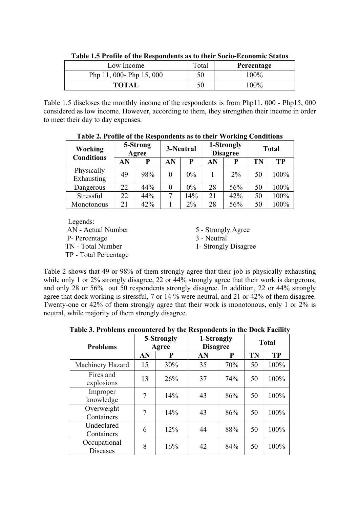| Low Income               | Total | Percentage |
|--------------------------|-------|------------|
| Php 11, 000- Php 15, 000 | 50    | $100\%$    |
| <b>TOTAL</b>             | 50    | $100\%$    |

**Table 1.5 Profile of the Respondents as to their Socio-Economic Status**

Table 1.5 discloses the monthly income of the respondents is from Php11, 000 - Php15, 000 considered as low income. However, according to them, they strengthen their income in order to meet their day to day expenses.

| <b>Working</b><br><b>Conditions</b> | 5-Strong<br>Agree |     | 3-Neutral |       | 1-Strongly<br><b>Disagree</b> |       | <b>Total</b> |           |
|-------------------------------------|-------------------|-----|-----------|-------|-------------------------------|-------|--------------|-----------|
|                                     | AN                | P   | AN        | P     | AN                            | P     | TN           | <b>TP</b> |
| Physically<br>Exhausting            | 49                | 98% | $\theta$  | $0\%$ |                               | $2\%$ | 50           | 100%      |
| Dangerous                           | 22                | 44% | 0         | 0%    | 28                            | 56%   | 50           | 100%      |
| Stressful                           | 22                | 44% | $\tau$    | 14%   | 21                            | 42%   | 50           | 100%      |
| Monotonous                          | 21                | 42% |           | 2%    | 28                            | 56%   | 50           | 100%      |

**Table 2. Profile of the Respondents as to their Working Conditions**

Legends: AN - Actual Number 5 - Strongly Agree P- Percentage 3 - Neutral TN - Total Number 1- Strongly Disagree TP - Total Percentage

Table 2 shows that 49 or 98% of them strongly agree that their job is physically exhausting while only 1 or 2% strongly disagree, 22 or 44% strongly agree that their work is dangerous, and only 28 or 56% out 50 respondents strongly disagree. In addition, 22 or 44% strongly agree that dock working is stressful, 7 or 14 % were neutral, and 21 or 42% of them disagree. Twenty-one or 42% of them strongly agree that their work is monotonous, only 1 or 2% is neutral, while majority of them strongly disagree.

**Table 3. Problems encountered by the Respondents in the Dock Facility**

| <b>Problems</b>                 | 5-Strongly<br>Agree |     | 1-Strongly<br><b>Disagree</b> |     | <b>Total</b> |           |
|---------------------------------|---------------------|-----|-------------------------------|-----|--------------|-----------|
|                                 | AN                  | P   | AN                            | P   | TN           | <b>TP</b> |
| Machinery Hazard                | 15                  | 30% | 35                            | 70% | 50           | 100%      |
| Fires and<br>explosions         | 13                  | 26% | 37                            | 74% | 50           | 100%      |
| Improper<br>knowledge           | 7                   | 14% | 43                            | 86% | 50           | 100%      |
| Overweight<br>Containers        | 7                   | 14% | 43                            | 86% | 50           | 100%      |
| Undeclared<br>Containers        | 6                   | 12% | 44                            | 88% | 50           | 100%      |
| Occupational<br><b>Diseases</b> | 8                   | 16% | 42                            | 84% | 50           | 100%      |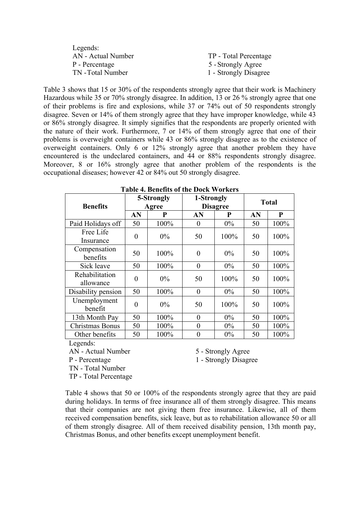| Legends:           |                       |
|--------------------|-----------------------|
| AN - Actual Number | TP - Total Percentage |
| P - Percentage     | 5 - Strongly Agree    |
| TN - Total Number  | 1 - Strongly Disagree |

Table 3 shows that 15 or 30% of the respondents strongly agree that their work is Machinery Hazardous while 35 or 70% strongly disagree. In addition, 13 or 26 % strongly agree that one of their problems is fire and explosions, while 37 or 74% out of 50 respondents strongly disagree. Seven or 14% of them strongly agree that they have improper knowledge, while 43 or 86% strongly disagree. It simply signifies that the respondents are properly oriented with the nature of their work. Furthermore, 7 or 14% of them strongly agree that one of their problems is overweight containers while 43 or 86% strongly disagree as to the existence of overweight containers. Only 6 or 12% strongly agree that another problem they have encountered is the undeclared containers, and 44 or 88% respondents strongly disagree. Moreover, 8 or 16% strongly agree that another problem of the respondents is the occupational diseases; however 42 or 84% out 50 strongly disagree.

| <b>Benefits</b>             | 5-Strongly<br>Agree |       | 1-Strongly     | <b>Disagree</b> | <b>Total</b> |      |
|-----------------------------|---------------------|-------|----------------|-----------------|--------------|------|
|                             | AN                  | P     | AN             | P               | AN           | P    |
| Paid Holidays off           | 50                  | 100%  | $\theta$       | $0\%$           | 50           | 100% |
| Free Life<br>Insurance      | $\theta$            | $0\%$ | 50             | 100%            | 50           | 100% |
| Compensation<br>benefits    | 50                  | 100%  | 0              | $0\%$           | 50           | 100% |
| Sick leave                  | 50                  | 100%  | $\theta$       | $0\%$           | 50           | 100% |
| Rehabilitation<br>allowance | $\theta$            | $0\%$ | 50             | 100%            | 50           | 100% |
| Disability pension          | 50                  | 100%  | $\theta$       | $0\%$           | 50           | 100% |
| Unemployment<br>benefit     | $\theta$            | $0\%$ | 50             | 100%            | 50           | 100% |
| 13th Month Pay              | 50                  | 100%  | 0              | $0\%$           | 50           | 100% |
| Christmas Bonus             | 50                  | 100%  | $\theta$       | $0\%$           | 50           | 100% |
| Other benefits              | 50                  | 100%  | $\overline{0}$ | $0\%$           | 50           | 100% |

**Table 4. Benefits of the Dock Workers**

Legends:

AN - Actual Number 5 - Strongly Agree

P - Percentage 1 - Strongly Disagree

 TN - Total Number TP - Total Percentage

Table 4 shows that 50 or 100% of the respondents strongly agree that they are paid during holidays. In terms of free insurance all of them strongly disagree. This means that their companies are not giving them free insurance. Likewise, all of them received compensation benefits, sick leave, but as to rehabilitation allowance 50 or all of them strongly disagree. All of them received disability pension, 13th month pay, Christmas Bonus, and other benefits except unemployment benefit.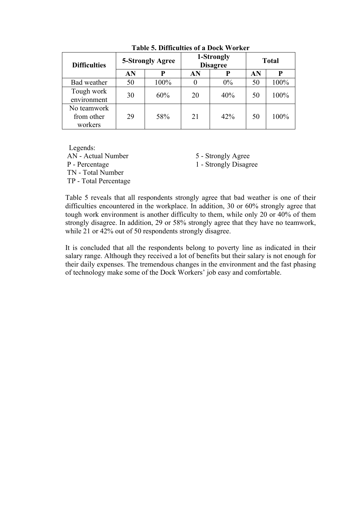| <b>Difficulties</b> | 5-Strongly Agree |      |              | 1-Strongly<br><b>Disagree</b> | <b>Total</b> |      |
|---------------------|------------------|------|--------------|-------------------------------|--------------|------|
|                     | AN               | P    | AN           |                               | AN           | P    |
| Bad weather         | 50               | 100% | $\mathbf{0}$ | $0\%$                         | 50           | 100% |
| Tough work          | 30               | 60%  | 20           | 40%                           | 50           | 100% |
| environment         |                  |      |              |                               |              |      |
| No teamwork         |                  |      |              |                               |              |      |
| from other          | 29               | 58%  | 21           | 42%                           | 50           | 100% |
| workers             |                  |      |              |                               |              |      |

**Table 5. Difficulties of a Dock Worker** 

 Legends: AN - Actual Number 5 - Strongly Agree P - Percentage 1 - Strongly Disagree TN - Total Number TP - Total Percentage

Table 5 reveals that all respondents strongly agree that bad weather is one of their difficulties encountered in the workplace. In addition, 30 or 60% strongly agree that tough work environment is another difficulty to them, while only 20 or 40% of them strongly disagree. In addition, 29 or 58% strongly agree that they have no teamwork, while 21 or 42% out of 50 respondents strongly disagree.

It is concluded that all the respondents belong to poverty line as indicated in their salary range. Although they received a lot of benefits but their salary is not enough for their daily expenses. The tremendous changes in the environment and the fast phasing of technology make some of the Dock Workers' job easy and comfortable.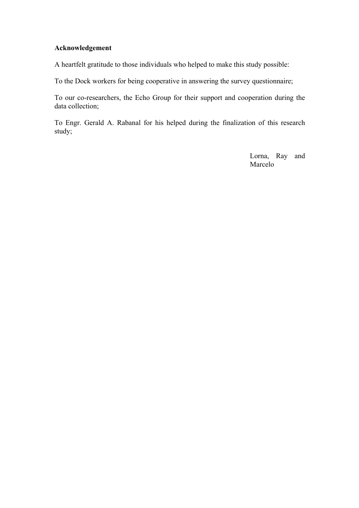## **Acknowledgement**

A heartfelt gratitude to those individuals who helped to make this study possible:

To the Dock workers for being cooperative in answering the survey questionnaire;

To our co-researchers, the Echo Group for their support and cooperation during the data collection;

To Engr. Gerald A. Rabanal for his helped during the finalization of this research study;

> Lorna, Ray and Marcelo